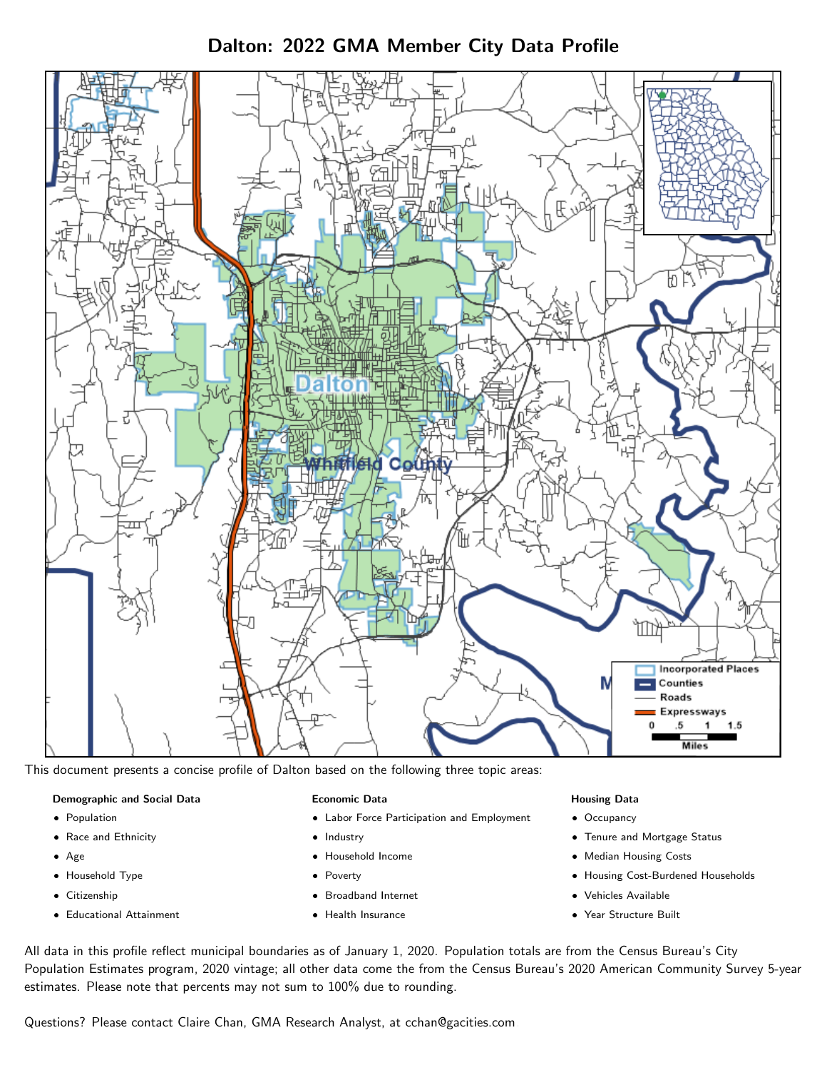Dalton: 2022 GMA Member City Data Profile



This document presents a concise profile of Dalton based on the following three topic areas:

# Demographic and Social Data

- **•** Population
- Race and Ethnicity
- Age
- Household Type
- **Citizenship**
- Educational Attainment

### Economic Data

- Labor Force Participation and Employment
- Industry
- Household Income
- Poverty
- Broadband Internet
- Health Insurance

### Housing Data

- Occupancy
- Tenure and Mortgage Status
- Median Housing Costs
- Housing Cost-Burdened Households
- Vehicles Available
- Year Structure Built

All data in this profile reflect municipal boundaries as of January 1, 2020. Population totals are from the Census Bureau's City Population Estimates program, 2020 vintage; all other data come the from the Census Bureau's 2020 American Community Survey 5-year estimates. Please note that percents may not sum to 100% due to rounding.

Questions? Please contact Claire Chan, GMA Research Analyst, at [cchan@gacities.com.](mailto:cchan@gacities.com)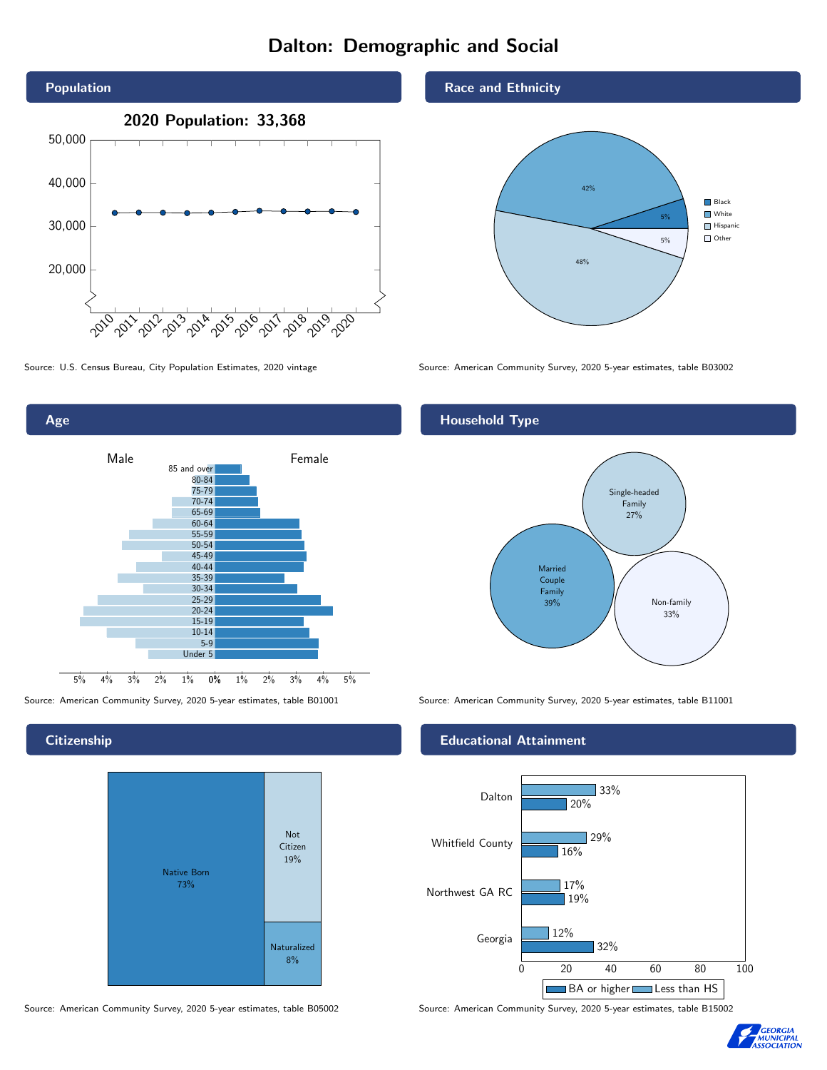# Dalton: Demographic and Social





**Citizenship** 

Age



Source: American Community Survey, 2020 5-year estimates, table B05002 Source: American Community Survey, 2020 5-year estimates, table B15002

Race and Ethnicity



Source: U.S. Census Bureau, City Population Estimates, 2020 vintage Source: American Community Survey, 2020 5-year estimates, table B03002

# Household Type



Source: American Community Survey, 2020 5-year estimates, table B01001 Source: American Community Survey, 2020 5-year estimates, table B11001

### Educational Attainment



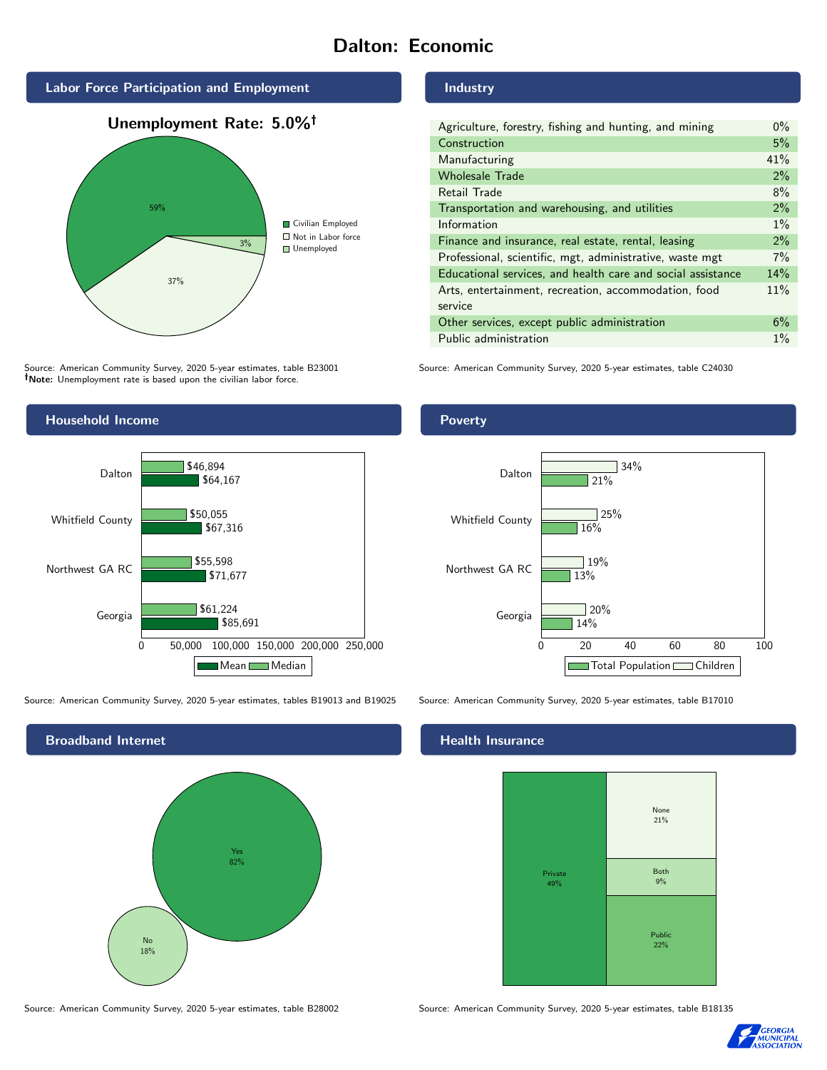# Dalton: Economic







Source: American Community Survey, 2020 5-year estimates, table B23001 Note: Unemployment rate is based upon the civilian labor force.



Source: American Community Survey, 2020 5-year estimates, tables B19013 and B19025 Source: American Community Survey, 2020 5-year estimates, table B17010



#### Industry

| Agriculture, forestry, fishing and hunting, and mining      | $0\%$ |
|-------------------------------------------------------------|-------|
| Construction                                                | 5%    |
| Manufacturing                                               | 41%   |
| <b>Wholesale Trade</b>                                      | 2%    |
| Retail Trade                                                | 8%    |
| Transportation and warehousing, and utilities               | $2\%$ |
| Information                                                 | $1\%$ |
| Finance and insurance, real estate, rental, leasing         | 2%    |
| Professional, scientific, mgt, administrative, waste mgt    | 7%    |
| Educational services, and health care and social assistance | 14%   |
| Arts, entertainment, recreation, accommodation, food        | 11%   |
| service                                                     |       |
| Other services, except public administration                | 6%    |
| Public administration                                       | $1\%$ |

Source: American Community Survey, 2020 5-year estimates, table C24030

## Poverty



### Health Insurance



Source: American Community Survey, 2020 5-year estimates, table B28002 Source: American Community Survey, 2020 5-year estimates, table B18135